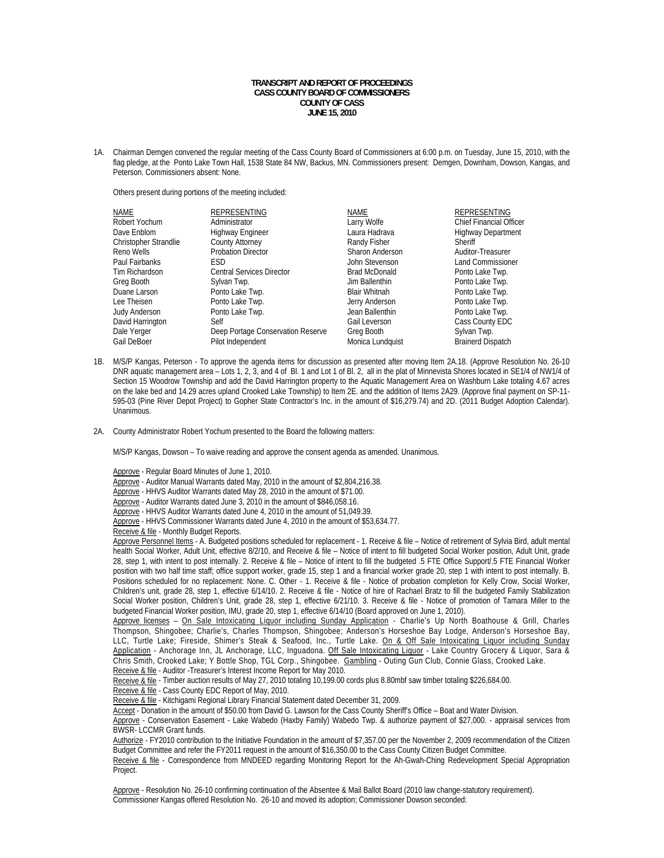## **TRANSCRIPT AND REPORT OF PROCEEDINGS CASS COUNTY BOARD OF COMMISSIONERS COUNTY OF CASS JUNE 15, 2010**

1A. Chairman Demgen convened the regular meeting of the Cass County Board of Commissioners at 6:00 p.m. on Tuesday, June 15, 2010, with the flag pledge, at the Ponto Lake Town Hall, 1538 State 84 NW, Backus, MN. Commissioners present: Demgen, Downham, Dowson, Kangas, and Peterson. Commissioners absent: None.

Others present during portions of the meeting included:

| <b>NAME</b>           | REPRESENTING                      | <b>NAME</b>          | REPRESENTING                   |
|-----------------------|-----------------------------------|----------------------|--------------------------------|
| Robert Yochum         | Administrator                     | Larry Wolfe          | <b>Chief Financial Officer</b> |
| Dave Enblom           | Highway Engineer                  | Laura Hadrava        | <b>Highway Department</b>      |
| Christopher Strandlie | <b>County Attorney</b>            | Randy Fisher         | Sheriff                        |
| Reno Wells            | <b>Probation Director</b>         | Sharon Anderson      | Auditor-Treasurer              |
| Paul Fairbanks        | <b>ESD</b>                        | John Stevenson       | <b>Land Commissioner</b>       |
| Tim Richardson        | <b>Central Services Director</b>  | <b>Brad McDonald</b> | Ponto Lake Twp.                |
| Greg Booth            | Sylvan Twp.                       | Jim Ballenthin       | Ponto Lake Twp.                |
| Duane Larson          | Ponto Lake Twp.                   | <b>Blair Whitnah</b> | Ponto Lake Twp.                |
| Lee Theisen           | Ponto Lake Twp.                   | Jerry Anderson       | Ponto Lake Twp.                |
| Judy Anderson         | Ponto Lake Twp.                   | Jean Ballenthin      | Ponto Lake Twp.                |
| David Harrington      | Self                              | Gail Leverson        | Cass County EDC                |
| Dale Yerger           | Deep Portage Conservation Reserve | Greg Booth           | Sylvan Twp.                    |
| Gail DeBoer           | Pilot Independent                 | Monica Lundquist     | <b>Brainerd Dispatch</b>       |

- 1B. M/S/P Kangas, Peterson To approve the agenda items for discussion as presented after moving Item 2A.18. (Approve Resolution No. 26-10 DNR aquatic management area – Lots 1, 2, 3, and 4 of Bl. 1 and Lot 1 of Bl. 2, all in the plat of Minnevista Shores located in SE1/4 of NW1/4 of Section 15 Woodrow Township and add the David Harrington property to the Aquatic Management Area on Washburn Lake totaling 4.67 acres on the lake bed and 14.29 acres upland Crooked Lake Township) to Item 2E. and the addition of Items 2A29. (Approve final payment on SP-11- 595-03 (Pine River Depot Project) to Gopher State Contractor's Inc. in the amount of \$16,279.74) and 2D. (2011 Budget Adoption Calendar). Unanimous.
- 2A. County Administrator Robert Yochum presented to the Board the following matters:

M/S/P Kangas, Dowson – To waive reading and approve the consent agenda as amended. Unanimous.

Approve - Regular Board Minutes of June 1, 2010.

Approve - Auditor Manual Warrants dated May, 2010 in the amount of \$2,804,216.38.

Approve - HHVS Auditor Warrants dated May 28, 2010 in the amount of \$71.00.

Approve - Auditor Warrants dated June 3, 2010 in the amount of \$846,058.16.

Approve - HHVS Auditor Warrants dated June 4, 2010 in the amount of 51,049.39.

Approve - HHVS Commissioner Warrants dated June 4, 2010 in the amount of \$53,634.77.

Receive & file - Monthly Budget Reports.

Approve Personnel Items - A. Budgeted positions scheduled for replacement - 1. Receive & file – Notice of retirement of Sylvia Bird, adult mental health Social Worker, Adult Unit, effective 8/2/10, and Receive & file – Notice of intent to fill budgeted Social Worker position, Adult Unit, grade 28, step 1, with intent to post internally. 2. Receive & file – Notice of intent to fill the budgeted .5 FTE Office Support/.5 FTE Financial Worker position with two half time staff; office support worker, grade 15, step 1 and a financial worker grade 20, step 1 with intent to post internally. B. Positions scheduled for no replacement: None. C. Other - 1. Receive & file - Notice of probation completion for Kelly Crow, Social Worker, Children's unit, grade 28, step 1, effective 6/14/10. 2. Receive & file - Notice of hire of Rachael Bratz to fill the budgeted Family Stabilization Social Worker position, Children's Unit, grade 28, step 1, effective 6/21/10. 3. Receive & file - Notice of promotion of Tamara Miller to the budgeted Financial Worker position, IMU, grade 20, step 1, effective 6/14/10 (Board approved on June 1, 2010).

Approve licenses - On Sale Intoxicating Liquor including Sunday Application - Charlie's Up North Boathouse & Grill, Charles Thompson, Shingobee; Charlie's, Charles Thompson, Shingobee; Anderson's Horseshoe Bay Lodge, Anderson's Horseshoe Bay, LLC, Turtle Lake; Fireside, Shimer's Steak & Seafood, Inc., Turtle Lake. On & Off Sale Intoxicating Liquor including Sunday Application - Anchorage Inn, JL Anchorage, LLC, Inguadona. Off Sale Intoxicating Liquor - Lake Country Grocery & Liquor, Sara & Chris Smith, Crooked Lake; Y Bottle Shop, TGL Corp., Shingobee. Gambling - Outing Gun Club, Connie Glass, Crooked Lake. Receive & file - Auditor - Treasurer's Interest Income Report for May 2010.

Receive & file - Timber auction results of May 27, 2010 totaling 10,199.00 cords plus 8.80mbf saw timber totaling \$226,684.00.

Receive & file - Cass County EDC Report of May, 2010.

Receive & file - Kitchigami Regional Library Financial Statement dated December 31, 2009.

Accept - Donation in the amount of \$50.00 from David G. Lawson for the Cass County Sheriff's Office – Boat and Water Division.

 Approve - Conservation Easement - Lake Wabedo (Haxby Family) Wabedo Twp. & authorize payment of \$27,000. - appraisal services from BWSR- LCCMR Grant funds.

Authorize - FY2010 contribution to the Initiative Foundation in the amount of \$7,357.00 per the November 2, 2009 recommendation of the Citizen Budget Committee and refer the FY2011 request in the amount of \$16,350.00 to the Cass County Citizen Budget Committee.

Receive & file - Correspondence from MNDEED regarding Monitoring Report for the Ah-Gwah-Ching Redevelopment Special Appropriation Project.

Approve - Resolution No. 26-10 confirming continuation of the Absentee & Mail Ballot Board (2010 law change-statutory requirement). Commissioner Kangas offered Resolution No. 26-10 and moved its adoption; Commissioner Dowson seconded: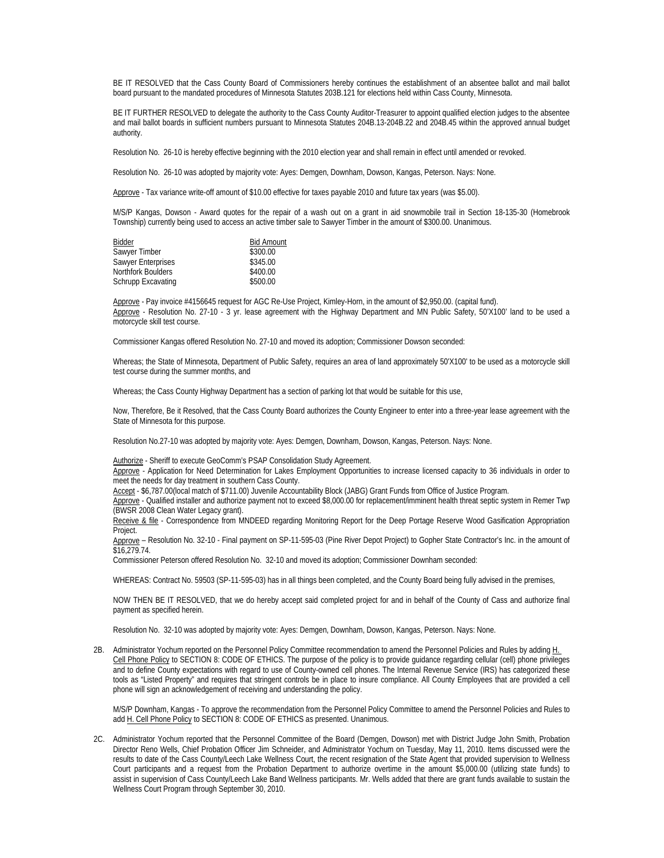BE IT RESOLVED that the Cass County Board of Commissioners hereby continues the establishment of an absentee ballot and mail ballot board pursuant to the mandated procedures of Minnesota Statutes 203B.121 for elections held within Cass County, Minnesota.

BE IT FURTHER RESOLVED to delegate the authority to the Cass County Auditor-Treasurer to appoint qualified election judges to the absentee and mail ballot boards in sufficient numbers pursuant to Minnesota Statutes 204B.13-204B.22 and 204B.45 within the approved annual budget authority.

Resolution No. 26-10 is hereby effective beginning with the 2010 election year and shall remain in effect until amended or revoked.

Resolution No. 26-10 was adopted by majority vote: Ayes: Demgen, Downham, Dowson, Kangas, Peterson. Nays: None.

Approve - Tax variance write-off amount of \$10.00 effective for taxes payable 2010 and future tax years (was \$5.00).

M/S/P Kangas, Dowson - Award quotes for the repair of a wash out on a grant in aid snowmobile trail in Section 18-135-30 (Homebrook Township) currently being used to access an active timber sale to Sawyer Timber in the amount of \$300.00. Unanimous.

| Bidder             | <b>Bid Amount</b> |
|--------------------|-------------------|
| Sawyer Timber      | \$300.00          |
| Sawyer Enterprises | \$345.00          |
| Northfork Boulders | \$400.00          |
| Schrupp Excavating | \$500.00          |

 Approve - Pay invoice #4156645 request for AGC Re-Use Project, Kimley-Horn, in the amount of \$2,950.00. (capital fund). Approve - Resolution No. 27-10 - 3 yr. lease agreement with the Highway Department and MN Public Safety, 50'X100' land to be used a motorcycle skill test course.

Commissioner Kangas offered Resolution No. 27-10 and moved its adoption; Commissioner Dowson seconded:

Whereas; the State of Minnesota, Department of Public Safety, requires an area of land approximately 50'X100' to be used as a motorcycle skill test course during the summer months, and

Whereas; the Cass County Highway Department has a section of parking lot that would be suitable for this use,

Now, Therefore, Be it Resolved, that the Cass County Board authorizes the County Engineer to enter into a three-year lease agreement with the State of Minnesota for this purpose.

Resolution No.27-10 was adopted by majority vote: Ayes: Demgen, Downham, Dowson, Kangas, Peterson. Nays: None.

Authorize - Sheriff to execute GeoComm's PSAP Consolidation Study Agreement.

Approve - Application for Need Determination for Lakes Employment Opportunities to increase licensed capacity to 36 individuals in order to meet the needs for day treatment in southern Cass County.

Accept - \$6,787.00(local match of \$711.00) Juvenile Accountability Block (JABG) Grant Funds from Office of Justice Program.

Approve - Qualified installer and authorize payment not to exceed \$8,000.00 for replacement/imminent health threat septic system in Remer Twp (BWSR 2008 Clean Water Legacy grant).

Receive & file - Correspondence from MNDEED regarding Monitoring Report for the Deep Portage Reserve Wood Gasification Appropriation Project.

Approve – Resolution No. 32-10 - Final payment on SP-11-595-03 (Pine River Depot Project) to Gopher State Contractor's Inc. in the amount of \$16,279.74.

Commissioner Peterson offered Resolution No. 32-10 and moved its adoption; Commissioner Downham seconded:

WHEREAS: Contract No. 59503 (SP-11-595-03) has in all things been completed, and the County Board being fully advised in the premises,

NOW THEN BE IT RESOLVED, that we do hereby accept said completed project for and in behalf of the County of Cass and authorize final payment as specified herein.

Resolution No. 32-10 was adopted by majority vote: Ayes: Demgen, Downham, Dowson, Kangas, Peterson. Nays: None.

2B. Administrator Yochum reported on the Personnel Policy Committee recommendation to amend the Personnel Policies and Rules by adding H. Cell Phone Policy to SECTION 8: CODE OF ETHICS. The purpose of the policy is to provide guidance regarding cellular (cell) phone privileges and to define County expectations with regard to use of County-owned cell phones. The Internal Revenue Service (IRS) has categorized these tools as "Listed Property" and requires that stringent controls be in place to insure compliance. All County Employees that are provided a cell phone will sign an acknowledgement of receiving and understanding the policy.

M/S/P Downham, Kangas - To approve the recommendation from the Personnel Policy Committee to amend the Personnel Policies and Rules to add H. Cell Phone Policy to SECTION 8: CODE OF ETHICS as presented. Unanimous.

2C. Administrator Yochum reported that the Personnel Committee of the Board (Demgen, Dowson) met with District Judge John Smith, Probation Director Reno Wells, Chief Probation Officer Jim Schneider, and Administrator Yochum on Tuesday, May 11, 2010. Items discussed were the results to date of the Cass County/Leech Lake Wellness Court, the recent resignation of the State Agent that provided supervision to Wellness Court participants and a request from the Probation Department to authorize overtime in the amount \$5,000.00 (utilizing state funds) to assist in supervision of Cass County/Leech Lake Band Wellness participants. Mr. Wells added that there are grant funds available to sustain the Wellness Court Program through September 30, 2010.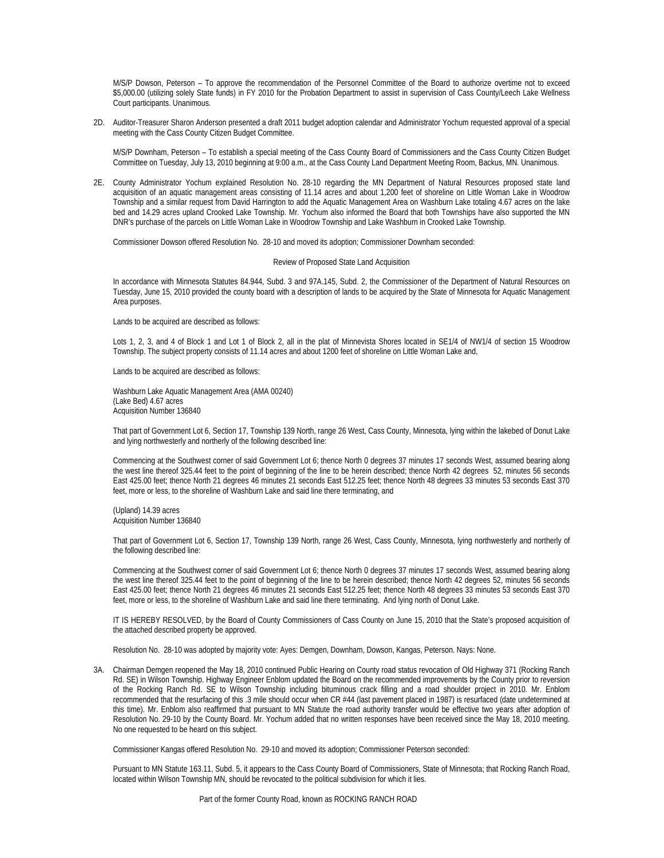M/S/P Dowson, Peterson – To approve the recommendation of the Personnel Committee of the Board to authorize overtime not to exceed \$5,000.00 (utilizing solely State funds) in FY 2010 for the Probation Department to assist in supervision of Cass County/Leech Lake Wellness Court participants. Unanimous.

2D. Auditor-Treasurer Sharon Anderson presented a draft 2011 budget adoption calendar and Administrator Yochum requested approval of a special meeting with the Cass County Citizen Budget Committee.

M/S/P Downham, Peterson – To establish a special meeting of the Cass County Board of Commissioners and the Cass County Citizen Budget Committee on Tuesday, July 13, 2010 beginning at 9:00 a.m., at the Cass County Land Department Meeting Room, Backus, MN. Unanimous.

2E. County Administrator Yochum explained Resolution No. 28-10 regarding the MN Department of Natural Resources proposed state land acquisition of an aquatic management areas consisting of 11.14 acres and about 1,200 feet of shoreline on Little Woman Lake in Woodrow Township and a similar request from David Harrington to add the Aquatic Management Area on Washburn Lake totaling 4.67 acres on the lake bed and 14.29 acres upland Crooked Lake Township. Mr. Yochum also informed the Board that both Townships have also supported the MN DNR's purchase of the parcels on Little Woman Lake in Woodrow Township and Lake Washburn in Crooked Lake Township.

Commissioner Dowson offered Resolution No. 28-10 and moved its adoption; Commissioner Downham seconded:

## Review of Proposed State Land Acquisition

In accordance with Minnesota Statutes 84.944, Subd. 3 and 97A.145, Subd. 2, the Commissioner of the Department of Natural Resources on Tuesday, June 15, 2010 provided the county board with a description of lands to be acquired by the State of Minnesota for Aquatic Management Area purposes.

Lands to be acquired are described as follows:

Lots 1, 2, 3, and 4 of Block 1 and Lot 1 of Block 2, all in the plat of Minnevista Shores located in SE1/4 of NW1/4 of section 15 Woodrow Township. The subject property consists of 11.14 acres and about 1200 feet of shoreline on Little Woman Lake and,

Lands to be acquired are described as follows:

Washburn Lake Aquatic Management Area (AMA 00240) (Lake Bed) 4.67 acres Acquisition Number 136840

That part of Government Lot 6, Section 17, Township 139 North, range 26 West, Cass County, Minnesota, lying within the lakebed of Donut Lake and lying northwesterly and northerly of the following described line:

Commencing at the Southwest corner of said Government Lot 6; thence North 0 degrees 37 minutes 17 seconds West, assumed bearing along the west line thereof 325.44 feet to the point of beginning of the line to be herein described; thence North 42 degrees 52, minutes 56 seconds East 425.00 feet; thence North 21 degrees 46 minutes 21 seconds East 512.25 feet; thence North 48 degrees 33 minutes 53 seconds East 370 feet, more or less, to the shoreline of Washburn Lake and said line there terminating, and

(Upland) 14.39 acres Acquisition Number 136840

That part of Government Lot 6, Section 17, Township 139 North, range 26 West, Cass County, Minnesota, lying northwesterly and northerly of the following described line:

Commencing at the Southwest corner of said Government Lot 6; thence North 0 degrees 37 minutes 17 seconds West, assumed bearing along the west line thereof 325.44 feet to the point of beginning of the line to be herein described; thence North 42 degrees 52, minutes 56 seconds East 425.00 feet; thence North 21 degrees 46 minutes 21 seconds East 512.25 feet; thence North 48 degrees 33 minutes 53 seconds East 370 feet, more or less, to the shoreline of Washburn Lake and said line there terminating. And lying north of Donut Lake.

IT IS HEREBY RESOLVED, by the Board of County Commissioners of Cass County on June 15, 2010 that the State's proposed acquisition of the attached described property be approved.

Resolution No. 28-10 was adopted by majority vote: Ayes: Demgen, Downham, Dowson, Kangas, Peterson. Nays: None.

3A. Chairman Demgen reopened the May 18, 2010 continued Public Hearing on County road status revocation of Old Highway 371 (Rocking Ranch Rd. SE) in Wilson Township. Highway Engineer Enblom updated the Board on the recommended improvements by the County prior to reversion of the Rocking Ranch Rd. SE to Wilson Township including bituminous crack filling and a road shoulder project in 2010. Mr. Enblom recommended that the resurfacing of this .3 mile should occur when CR #44 (last pavement placed in 1987) is resurfaced (date undetermined at this time). Mr. Enblom also reaffirmed that pursuant to MN Statute the road authority transfer would be effective two years after adoption of Resolution No. 29-10 by the County Board. Mr. Yochum added that no written responses have been received since the May 18, 2010 meeting. No one requested to be heard on this subject.

Commissioner Kangas offered Resolution No. 29-10 and moved its adoption; Commissioner Peterson seconded:

Pursuant to MN Statute 163.11, Subd. 5, it appears to the Cass County Board of Commissioners, State of Minnesota; that Rocking Ranch Road, located within Wilson Township MN, should be revocated to the political subdivision for which it lies.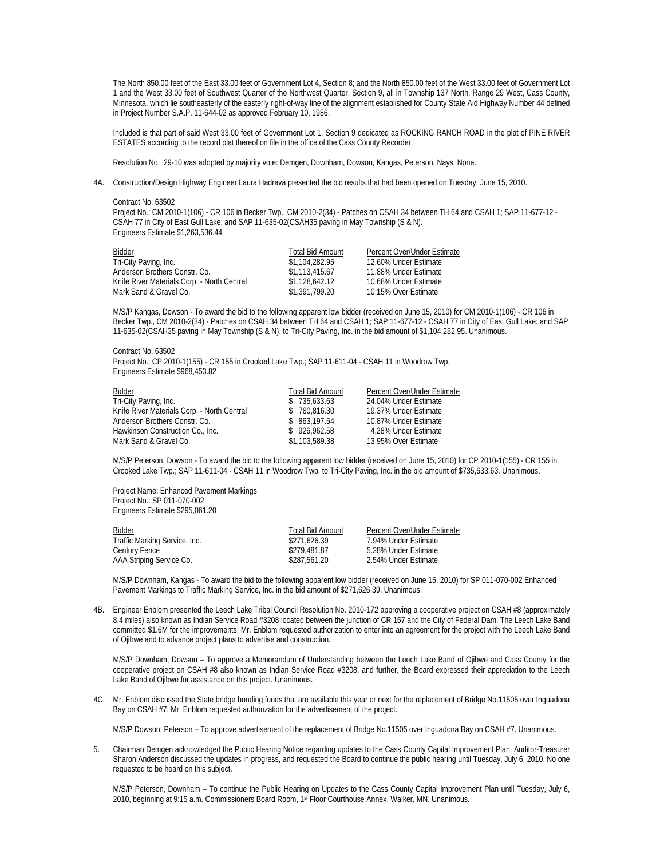The North 850.00 feet of the East 33.00 feet of Government Lot 4, Section 8; and the North 850.00 feet of the West 33.00 feet of Government Lot 1 and the West 33.00 feet of Southwest Quarter of the Northwest Quarter, Section 9, all in Township 137 North, Range 29 West, Cass County, Minnesota, which lie southeasterly of the easterly right-of-way line of the alignment established for County State Aid Highway Number 44 defined in Project Number S.A.P. 11-644-02 as approved February 10, 1986.

Included is that part of said West 33.00 feet of Government Lot 1, Section 9 dedicated as ROCKING RANCH ROAD in the plat of PINE RIVER ESTATES according to the record plat thereof on file in the office of the Cass County Recorder.

Resolution No. 29-10 was adopted by majority vote: Demgen, Downham, Dowson, Kangas, Peterson. Nays: None.

4A. Construction/Design Highway Engineer Laura Hadrava presented the bid results that had been opened on Tuesday, June 15, 2010.

Contract No. 63502 Project No.: CM 2010-1(106) - CR 106 in Becker Twp., CM 2010-2(34) - Patches on CSAH 34 between TH 64 and CSAH 1; SAP 11-677-12 - CSAH 77 in City of East Gull Lake; and SAP 11-635-02(CSAH35 paving in May Township (S & N). Engineers Estimate \$1,263,536.44

| <b>Bidder</b>                               | <b>Total Bid Amount</b> | Percent Over/Under Estimate |
|---------------------------------------------|-------------------------|-----------------------------|
| Tri-City Paving, Inc.                       | \$1,104,282.95          | 12.60% Under Estimate       |
| Anderson Brothers Constr. Co.               | \$1.113.415.67          | 11.88% Under Estimate       |
| Knife River Materials Corp. - North Central | \$1,128,642,12          | 10.68% Under Estimate       |
| Mark Sand & Gravel Co.                      | \$1.391.799.20          | 10.15% Over Estimate        |

M/S/P Kangas, Dowson - To award the bid to the following apparent low bidder (received on June 15, 2010) for CM 2010-1(106) - CR 106 in Becker Twp., CM 2010-2(34) - Patches on CSAH 34 between TH 64 and CSAH 1; SAP 11-677-12 - CSAH 77 in City of East Gull Lake; and SAP 11-635-02(CSAH35 paving in May Township (S & N). to Tri-City Paving, Inc. in the bid amount of \$1,104,282.95. Unanimous.

Contract No. 63502 Proiect No.: CP 2010-1(155) - CR 155 in Crooked Lake Twp.; SAP 11-611-04 - CSAH 11 in Woodrow Twp. Engineers Estimate \$968,453.82

| Bidder                                      | <b>Total Bid Amount</b> | Percent Over/Under Estimate |
|---------------------------------------------|-------------------------|-----------------------------|
| Tri-City Paving, Inc.                       | \$735.633.63            | 24.04% Under Estimate       |
| Knife River Materials Corp. - North Central | \$780.816.30            | 19.37% Under Estimate       |
| Anderson Brothers Constr. Co.               | \$863,197.54            | 10.87% Under Estimate       |
| Hawkinson Construction Co., Inc.            | \$926,962.58            | 4.28% Under Estimate        |
| Mark Sand & Gravel Co.                      | \$1,103,589.38          | 13.95% Over Estimate        |

M/S/P Peterson, Dowson - To award the bid to the following apparent low bidder (received on June 15, 2010) for CP 2010-1(155) - CR 155 in Crooked Lake Twp.; SAP 11-611-04 - CSAH 11 in Woodrow Twp. to Tri-City Paving, Inc. in the bid amount of \$735,633.63. Unanimous.

 Project Name: Enhanced Pavement Markings Project No.: SP 011-070-002 Engineers Estimate \$295,061.20

| Bidder                        | Total Bid Amount | <b>Percent Over/Under Estimate</b> |
|-------------------------------|------------------|------------------------------------|
| Traffic Marking Service, Inc. | \$271.626.39     | 7.94% Under Estimate               |
| Century Fence                 | \$279.481.87     | 5.28% Under Estimate               |
| AAA Striping Service Co.      | \$287.561.20     | 2.54% Under Estimate               |

M/S/P Downham, Kangas - To award the bid to the following apparent low bidder (received on June 15, 2010) for SP 011-070-002 Enhanced Pavement Markings to Traffic Marking Service, Inc. in the bid amount of \$271,626.39. Unanimous.

4B. Engineer Enblom presented the Leech Lake Tribal Council Resolution No. 2010-172 approving a cooperative project on CSAH #8 (approximately 8.4 miles) also known as Indian Service Road #3208 located between the junction of CR 157 and the City of Federal Dam. The Leech Lake Band committed \$1.6M for the improvements. Mr. Enblom requested authorization to enter into an agreement for the project with the Leech Lake Band of Ojibwe and to advance project plans to advertise and construction.

 M/S/P Downham, Dowson – To approve a Memorandum of Understanding between the Leech Lake Band of Ojibwe and Cass County for the cooperative project on CSAH #8 also known as Indian Service Road #3208, and further, the Board expressed their appreciation to the Leech Lake Band of Ojibwe for assistance on this project. Unanimous.

4C. Mr. Enblom discussed the State bridge bonding funds that are available this year or next for the replacement of Bridge No.11505 over Inguadona Bay on CSAH #7. Mr. Enblom requested authorization for the advertisement of the project.

M/S/P Dowson, Peterson – To approve advertisement of the replacement of Bridge No.11505 over Inguadona Bay on CSAH #7. Unanimous.

5. Chairman Demgen acknowledged the Public Hearing Notice regarding updates to the Cass County Capital Improvement Plan. Auditor-Treasurer Sharon Anderson discussed the updates in progress, and requested the Board to continue the public hearing until Tuesday, July 6, 2010. No one requested to be heard on this subject.

 M/S/P Peterson, Downham – To continue the Public Hearing on Updates to the Cass County Capital Improvement Plan until Tuesday, July 6, 2010, beginning at 9:15 a.m. Commissioners Board Room, 1st Floor Courthouse Annex, Walker, MN. Unanimous.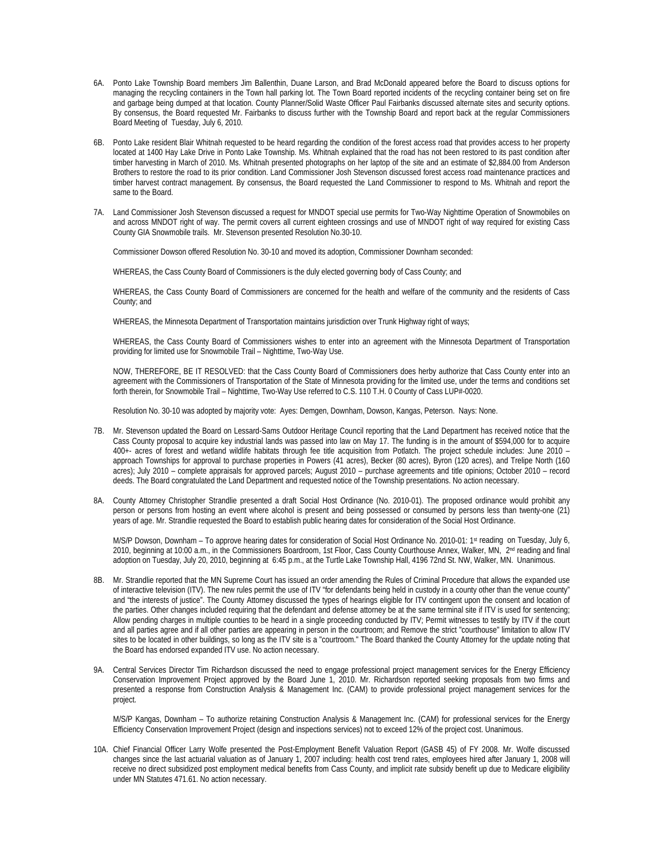- 6A. Ponto Lake Township Board members Jim Ballenthin, Duane Larson, and Brad McDonald appeared before the Board to discuss options for managing the recycling containers in the Town hall parking lot. The Town Board reported incidents of the recycling container being set on fire and garbage being dumped at that location. County Planner/Solid Waste Officer Paul Fairbanks discussed alternate sites and security options. By consensus, the Board requested Mr. Fairbanks to discuss further with the Township Board and report back at the regular Commissioners Board Meeting of Tuesday, July 6, 2010.
- 6B. Ponto Lake resident Blair Whitnah requested to be heard regarding the condition of the forest access road that provides access to her property located at 1400 Hay Lake Drive in Ponto Lake Township. Ms. Whitnah explained that the road has not been restored to its past condition after timber harvesting in March of 2010. Ms. Whitnah presented photographs on her laptop of the site and an estimate of \$2,884.00 from Anderson Brothers to restore the road to its prior condition. Land Commissioner Josh Stevenson discussed forest access road maintenance practices and timber harvest contract management. By consensus, the Board requested the Land Commissioner to respond to Ms. Whitnah and report the same to the Board.
- 7A. Land Commissioner Josh Stevenson discussed a request for MNDOT special use permits for Two-Way Nighttime Operation of Snowmobiles on and across MNDOT right of way. The permit covers all current eighteen crossings and use of MNDOT right of way required for existing Cass County GIA Snowmobile trails. Mr. Stevenson presented Resolution No.30-10.

Commissioner Dowson offered Resolution No. 30-10 and moved its adoption, Commissioner Downham seconded:

WHEREAS, the Cass County Board of Commissioners is the duly elected governing body of Cass County; and

WHEREAS, the Cass County Board of Commissioners are concerned for the health and welfare of the community and the residents of Cass County; and

WHEREAS, the Minnesota Department of Transportation maintains jurisdiction over Trunk Highway right of ways;

WHEREAS, the Cass County Board of Commissioners wishes to enter into an agreement with the Minnesota Department of Transportation providing for limited use for Snowmobile Trail – Nighttime, Two-Way Use.

NOW, THEREFORE, BE IT RESOLVED: that the Cass County Board of Commissioners does herby authorize that Cass County enter into an agreement with the Commissioners of Transportation of the State of Minnesota providing for the limited use, under the terms and conditions set forth therein, for Snowmobile Trail – Nighttime, Two-Way Use referred to C.S. 110 T.H. 0 County of Cass LUP#-0020.

Resolution No. 30-10 was adopted by majority vote: Ayes: Demgen, Downham, Dowson, Kangas, Peterson. Nays: None.

- 7B. Mr. Stevenson updated the Board on Lessard-Sams Outdoor Heritage Council reporting that the Land Department has received notice that the Cass County proposal to acquire key industrial lands was passed into law on May 17. The funding is in the amount of \$594,000 for to acquire 400+- acres of forest and wetland wildlife habitats through fee title acquisition from Potlatch. The project schedule includes: June 2010 – approach Townships for approval to purchase properties in Powers (41 acres), Becker (80 acres), Byron (120 acres), and Trelipe North (160 acres); July 2010 – complete appraisals for approved parcels; August 2010 – purchase agreements and title opinions; October 2010 – record deeds. The Board congratulated the Land Department and requested notice of the Township presentations. No action necessary.
- 8A. County Attorney Christopher Strandlie presented a draft Social Host Ordinance (No. 2010-01). The proposed ordinance would prohibit any person or persons from hosting an event where alcohol is present and being possessed or consumed by persons less than twenty-one (21) years of age. Mr. Strandlie requested the Board to establish public hearing dates for consideration of the Social Host Ordinance.

M/S/P Dowson, Downham – To approve hearing dates for consideration of Social Host Ordinance No. 2010-01: 1st reading on Tuesday, July 6, 2010, beginning at 10:00 a.m., in the Commissioners Boardroom, 1st Floor, Cass County Courthouse Annex, Walker, MN, 2<sup>nd</sup> reading and final adoption on Tuesday, July 20, 2010, beginning at 6:45 p.m., at the Turtle Lake Township Hall, 4196 72nd St. NW, Walker, MN. Unanimous.

- 8B. Mr. Strandlie reported that the MN Supreme Court has issued an order amending the Rules of Criminal Procedure that allows the expanded use of interactive television (ITV). The new rules permit the use of ITV "for defendants being held in custody in a county other than the venue county" and "the interests of justice". The County Attorney discussed the types of hearings eligible for ITV contingent upon the consent and location of the parties. Other changes included requiring that the defendant and defense attorney be at the same terminal site if ITV is used for sentencing; Allow pending charges in multiple counties to be heard in a single proceeding conducted by ITV; Permit witnesses to testify by ITV if the court and all parties agree and if all other parties are appearing in person in the courtroom; and Remove the strict "courthouse" limitation to allow ITV sites to be located in other buildings, so long as the ITV site is a "courtroom." The Board thanked the County Attorney for the update noting that the Board has endorsed expanded ITV use. No action necessary.
- 9A. Central Services Director Tim Richardson discussed the need to engage professional project management services for the Energy Efficiency Conservation Improvement Project approved by the Board June 1, 2010. Mr. Richardson reported seeking proposals from two firms and presented a response from Construction Analysis & Management Inc. (CAM) to provide professional project management services for the project.

 M/S/P Kangas, Downham – To authorize retaining Construction Analysis & Management Inc. (CAM) for professional services for the Energy Efficiency Conservation Improvement Project (design and inspections services) not to exceed 12% of the project cost. Unanimous.

10A. Chief Financial Officer Larry Wolfe presented the Post-Employment Benefit Valuation Report (GASB 45) of FY 2008. Mr. Wolfe discussed changes since the last actuarial valuation as of January 1, 2007 including: health cost trend rates, employees hired after January 1, 2008 will receive no direct subsidized post employment medical benefits from Cass County, and implicit rate subsidy benefit up due to Medicare eligibility under MN Statutes 471.61. No action necessary.